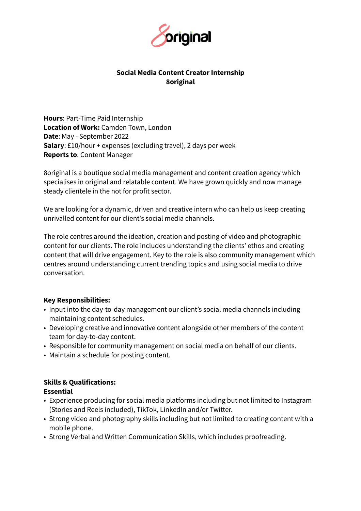

## **Social Media Content Creator Internship 8original**

**Hours**: Part-Time Paid Internship **Location of Work:** Camden Town, London **Date**: May - September 2022 **Salary**: £10/hour + expenses (excluding travel), 2 days per week **Reports to**: Content Manager

8original is a boutique social media management and content creation agency which specialises in original and relatable content. We have grown quickly and now manage steady clientele in the not for profit sector.

We are looking for a dynamic, driven and creative intern who can help us keep creating unrivalled content for our client's social media channels.

The role centres around the ideation, creation and posting of video and photographic content for our clients. The role includes understanding the clients' ethos and creating content that will drive engagement. Key to the role is also community management which centres around understanding current trending topics and using social media to drive conversation.

#### **Key Responsibilities:**

- Input into the day-to-day management our client's social media channels including maintaining content schedules.
- Developing creative and innovative content alongside other members of the content team for day-to-day content.
- Responsible for community management on social media on behalf of our clients.
- Maintain a schedule for posting content.

# **Skills & Qualifications:**

## **Essential**

- Experience producing for social media platforms including but not limited to Instagram (Stories and Reels included), TikTok, LinkedIn and/or Twitter.
- Strong video and photography skills including but not limited to creating content with a mobile phone.
- Strong Verbal and Written Communication Skills, which includes proofreading.